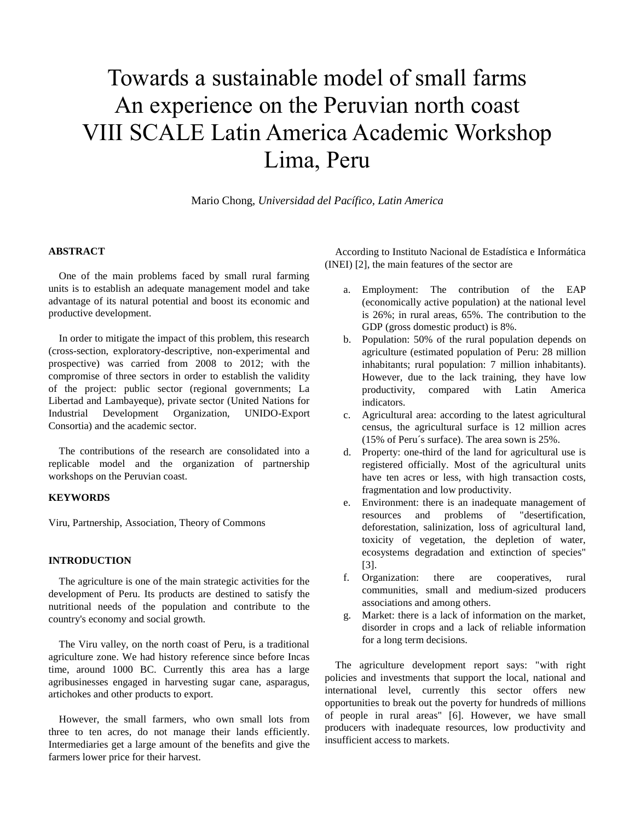# Towards a sustainable model of small farms An experience on the Peruvian north coast VIII SCALE Latin America Academic Workshop Lima, Peru

Mario Chong, *Universidad del Pacífico, Latin America*

## **ABSTRACT**

One of the main problems faced by small rural farming units is to establish an adequate management model and take advantage of its natural potential and boost its economic and productive development.

In order to mitigate the impact of this problem, this research (cross-section, exploratory-descriptive, non-experimental and prospective) was carried from 2008 to 2012; with the compromise of three sectors in order to establish the validity of the project: public sector (regional governments; La Libertad and Lambayeque), private sector (United Nations for Industrial Development Organization, UNIDO-Export Consortia) and the academic sector.

The contributions of the research are consolidated into a replicable model and the organization of partnership workshops on the Peruvian coast.

#### **KEYWORDS**

Viru, Partnership, Association, Theory of Commons

## **INTRODUCTION**

The agriculture is one of the main strategic activities for the development of Peru. Its products are destined to satisfy the nutritional needs of the population and contribute to the country's economy and social growth.

The Viru valley, on the north coast of Peru, is a traditional agriculture zone. We had history reference since before Incas time, around 1000 BC. Currently this area has a large agribusinesses engaged in harvesting sugar cane, asparagus, artichokes and other products to export.

However, the small farmers, who own small lots from three to ten acres, do not manage their lands efficiently. Intermediaries get a large amount of the benefits and give the farmers lower price for their harvest.

According to Instituto Nacional de Estadística e Informática (INEI) [2], the main features of the sector are

- a. Employment: The contribution of the EAP (economically active population) at the national level is 26%; in rural areas, 65%. The contribution to the GDP (gross domestic product) is 8%.
- b. Population: 50% of the rural population depends on agriculture (estimated population of Peru: 28 million inhabitants; rural population: 7 million inhabitants). However, due to the lack training, they have low productivity, compared with Latin America indicators.
- c. Agricultural area: according to the latest agricultural census, the agricultural surface is 12 million acres (15% of Peru´s surface). The area sown is 25%.
- d. Property: one-third of the land for agricultural use is registered officially. Most of the agricultural units have ten acres or less, with high transaction costs, fragmentation and low productivity.
- e. Environment: there is an inadequate management of resources and problems of "desertification, deforestation, salinization, loss of agricultural land, toxicity of vegetation, the depletion of water, ecosystems degradation and extinction of species" [3].
- f. Organization: there are cooperatives, rural communities, small and medium-sized producers associations and among others.
- g. Market: there is a lack of information on the market, disorder in crops and a lack of reliable information for a long term decisions.

The agriculture development report says: "with right policies and investments that support the local, national and international level, currently this sector offers new opportunities to break out the poverty for hundreds of millions of people in rural areas" [6]. However, we have small producers with inadequate resources, low productivity and insufficient access to markets.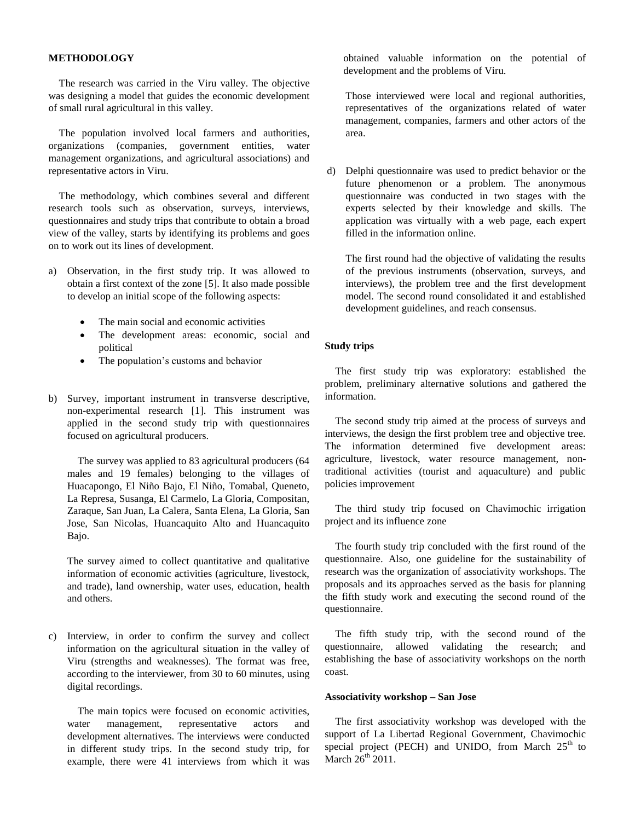## **METHODOLOGY**

The research was carried in the Viru valley. The objective was designing a model that guides the economic development of small rural agricultural in this valley.

The population involved local farmers and authorities, organizations (companies, government entities, water management organizations, and agricultural associations) and representative actors in Viru.

The methodology, which combines several and different research tools such as observation, surveys, interviews, questionnaires and study trips that contribute to obtain a broad view of the valley, starts by identifying its problems and goes on to work out its lines of development.

- a) Observation, in the first study trip. It was allowed to obtain a first context of the zone [5]. It also made possible to develop an initial scope of the following aspects:
	- The main social and economic activities
	- The development areas: economic, social and political
	- The population's customs and behavior
- b) Survey, important instrument in transverse descriptive, non-experimental research [1]. This instrument was applied in the second study trip with questionnaires focused on agricultural producers.

The survey was applied to 83 agricultural producers (64 males and 19 females) belonging to the villages of Huacapongo, El Niño Bajo, El Niño, Tomabal, Queneto, La Represa, Susanga, El Carmelo, La Gloria, Compositan, Zaraque, San Juan, La Calera, Santa Elena, La Gloria, San Jose, San Nicolas, Huancaquito Alto and Huancaquito Bajo.

The survey aimed to collect quantitative and qualitative information of economic activities (agriculture, livestock, and trade), land ownership, water uses, education, health and others.

c) Interview, in order to confirm the survey and collect information on the agricultural situation in the valley of Viru (strengths and weaknesses). The format was free, according to the interviewer, from 30 to 60 minutes, using digital recordings.

The main topics were focused on economic activities, water management, representative actors and development alternatives. The interviews were conducted in different study trips. In the second study trip, for example, there were 41 interviews from which it was

obtained valuable information on the potential of development and the problems of Viru.

Those interviewed were local and regional authorities, representatives of the organizations related of water management, companies, farmers and other actors of the area.

d) Delphi questionnaire was used to predict behavior or the future phenomenon or a problem. The anonymous questionnaire was conducted in two stages with the experts selected by their knowledge and skills. The application was virtually with a web page, each expert filled in the information online.

The first round had the objective of validating the results of the previous instruments (observation, surveys, and interviews), the problem tree and the first development model. The second round consolidated it and established development guidelines, and reach consensus.

#### **Study trips**

The first study trip was exploratory: established the problem, preliminary alternative solutions and gathered the information.

The second study trip aimed at the process of surveys and interviews, the design the first problem tree and objective tree. The information determined five development areas: agriculture, livestock, water resource management, nontraditional activities (tourist and aquaculture) and public policies improvement

The third study trip focused on Chavimochic irrigation project and its influence zone

The fourth study trip concluded with the first round of the questionnaire. Also, one guideline for the sustainability of research was the organization of associativity workshops. The proposals and its approaches served as the basis for planning the fifth study work and executing the second round of the questionnaire.

The fifth study trip, with the second round of the questionnaire, allowed validating the research; and establishing the base of associativity workshops on the north coast.

#### **Associativity workshop – San Jose**

The first associativity workshop was developed with the support of La Libertad Regional Government, Chavimochic special project (PECH) and UNIDO, from March 25<sup>th</sup> to March  $26<sup>th</sup>$  2011.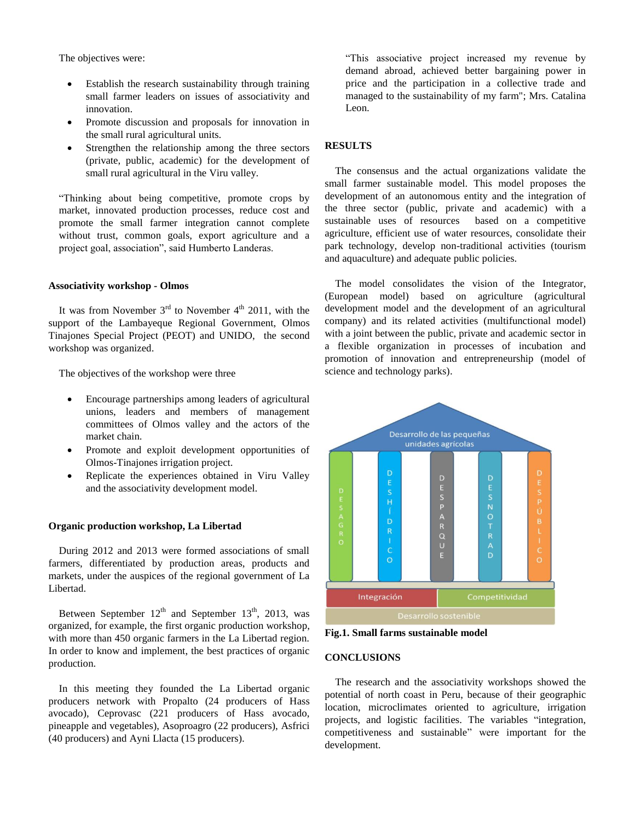The objectives were:

- Establish the research sustainability through training small farmer leaders on issues of associativity and innovation.
- Promote discussion and proposals for innovation in the small rural agricultural units.
- Strengthen the relationship among the three sectors (private, public, academic) for the development of small rural agricultural in the Viru valley.

"Thinking about being competitive, promote crops by market, innovated production processes, reduce cost and promote the small farmer integration cannot complete without trust, common goals, export agriculture and a project goal, association", said Humberto Landeras.

## **Associativity workshop - Olmos**

It was from November  $3<sup>rd</sup>$  to November  $4<sup>th</sup>$  2011, with the support of the Lambayeque Regional Government, Olmos Tinajones Special Project (PEOT) and UNIDO, the second workshop was organized.

The objectives of the workshop were three

- Encourage partnerships among leaders of agricultural unions, leaders and members of management committees of Olmos valley and the actors of the market chain.
- Promote and exploit development opportunities of Olmos-Tinajones irrigation project.
- Replicate the experiences obtained in Viru Valley and the associativity development model.

## **Organic production workshop, La Libertad**

During 2012 and 2013 were formed associations of small farmers, differentiated by production areas, products and markets, under the auspices of the regional government of La Libertad.

Between September  $12<sup>th</sup>$  and September  $13<sup>th</sup>$ , 2013, was organized, for example, the first organic production workshop, with more than 450 organic farmers in the La Libertad region. In order to know and implement, the best practices of organic production.

In this meeting they founded the La Libertad organic producers network with Propalto (24 producers of Hass avocado), Ceprovasc (221 producers of Hass avocado, pineapple and vegetables), Asoproagro (22 producers), Asfrici (40 producers) and Ayni Llacta (15 producers).

"This associative project increased my revenue by demand abroad, achieved better bargaining power in price and the participation in a collective trade and managed to the sustainability of my farm"; Mrs. Catalina Leon.

## **RESULTS**

The consensus and the actual organizations validate the small farmer sustainable model. This model proposes the development of an autonomous entity and the integration of the three sector (public, private and academic) with a sustainable uses of resources based on a competitive agriculture, efficient use of water resources, consolidate their park technology, develop non-traditional activities (tourism and aquaculture) and adequate public policies.

The model consolidates the vision of the Integrator, (European model) based on agriculture (agricultural development model and the development of an agricultural company) and its related activities (multifunctional model) with a joint between the public, private and academic sector in a flexible organization in processes of incubation and promotion of innovation and entrepreneurship (model of science and technology parks).



**Fig.1. Small farms sustainable model**

#### **CONCLUSIONS**

The research and the associativity workshops showed the potential of north coast in Peru, because of their geographic location, microclimates oriented to agriculture, irrigation projects, and logistic facilities. The variables "integration, competitiveness and sustainable" were important for the development.